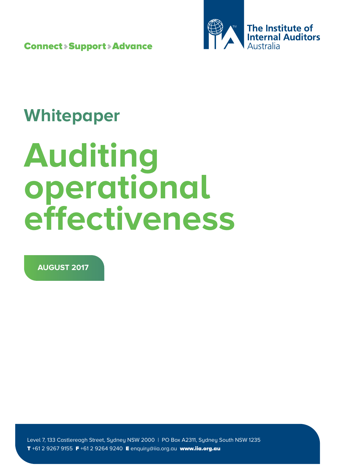Connect > Support > Advance



# **Whitepaper**

# **Auditing operational effectiveness**

**AUGUST 2017**

Level 7, 133 Castlereagh Street, Sydney NSW 2000 | PO Box A2311, Sydney South NSW 1235 T +61 2 9267 9155 F +61 2 9264 9240 E enquiry@iia.org.au www.iia.org.au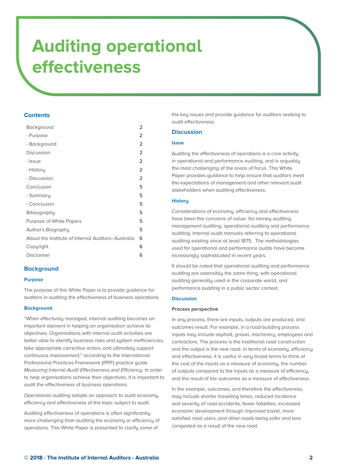# **Contents**

| Background                                         | 2              |
|----------------------------------------------------|----------------|
| - Purpose                                          | 2              |
| - Background                                       | 2              |
| Discussion                                         | 2              |
| - Issue                                            | $\overline{2}$ |
| - History                                          | 2              |
| - Discussion                                       | $\overline{2}$ |
| Conclusion                                         | 5              |
| - Summary                                          | 5              |
| - Conclusion                                       | 5              |
| Bibliography                                       | 5              |
| Purpose of White Papers                            | 5              |
| Author's Biography                                 | 5              |
| About the Institute of Internal Auditors-Australia | 6              |
| Copyright                                          | 6              |
| <b>Disclaimer</b>                                  | 6              |

# **Background**

### **Purpose**

The purpose of this White Paper is to provide guidance for auditors in auditing the effectiveness of business operations.

### **Background**

"When effectively managed, internal auditing becomes an important element in helping an organisation achieve its objectives. Organisations with internal audit activities are better able to identify business risks and system inefficiencies, take appropriate corrective action, and ultimately support continuous improvement," according to the International Professional Practices Framework (IPPF) practice guide Measuring Internal Audit Effectiveness and Efficiency. In order to help organisations achieve their objectives, it is important to audit the effectiveness of business operations.

Operational auditing adopts an approach to audit economy, efficiency and effectiveness of the topic subject to audit.

Auditing effectiveness of operations is often significantly more challenging than auditing the economy or efficiency of operations. This White Paper is presented to clarify some of

the key issues and provide guidance for auditors seeking to audit effectiveness.

# **Discussion**

### **Issue**

Auditing the effectiveness of operations is a core activity in operational and performance auditing, and is arguably the most challenging of the areas of focus. This White Paper provides guidance to help ensure that auditors meet the expectations of management and other relevant audit stakeholders when auditing effectiveness.

## **History**

Considerations of economy, efficiency and effectiveness have been the concerns of value- for-money auditing, management auditing, operational auditing and performance auditing. Internal audit manuals referring to operational auditing existing since at least 1875. The methodologies used for operational and performance audits have become increasingly sophisticated in recent years.

It should be noted that operational auditing and performance auditing are ostensibly the same thing, with operational auditing generally used in the corporate world, and performance auditing in a public sector context.

### **Discussion**

### **Process perspective**

In any process, there are inputs, outputs are produced, and outcomes result. For example, in a road-building process inputs may include asphalt, gravel, machinery, employees and contractors. The process is the traditional road construction and the output is the new road. In terms of economy, efficiency and effectiveness, it is useful in very broad terms to think of the cost of the inputs as a measure of economy, the number of outputs compared to the inputs as a measure of efficiency, and the result of the outcomes as a measure of effectiveness.

In the example, outcomes, and therefore the effectiveness, may include shorter travelling times, reduced incidence and severity of road accidents, fewer fatalities, increased economic development through improved travel, more satisfied road users, and other roads being safer and less congested as a result of the new road.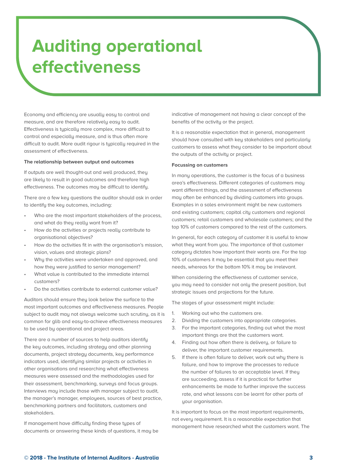Economy and efficiency are usually easy to control and measure, and are therefore relatively easy to audit. Effectiveness is typically more complex, more difficult to control and especially measure, and is thus often more difficult to audit. More audit rigour is typically required in the assessment of effectiveness.

#### **The relationship between output and outcomes**

If outputs are well thought-out and well produced, they are likely to result in good outcomes and therefore high effectiveness. The outcomes may be difficult to identify.

There are a few key questions the auditor should ask in order to identify the key outcomes, including:

- Who are the most important stakeholders of the process, and what do they really want from it?
- How do the activities or projects really contribute to organisational objectives?
- How do the activities fit in with the organisation's mission, vision, values and strategic plans?
- Why the activities were undertaken and approved, and how they were justified to senior management?
- What value is contributed to the immediate internal customers?
- Do the activities contribute to external customer value?

Auditors should ensure they look below the surface to the most important outcomes and effectiveness measures. People subject to qudit may not always welcome such scrutiny, as it is common for glib and easy-to-achieve effectiveness measures to be used by operational and project areas.

There are a number of sources to help auditors identify the key outcomes, including strategy and other planning documents, project strategy documents, key performance indicators used, identifying similar projects or activities in other organisations and researching what effectiveness measures were assessed and the methodologies used for their assessment, benchmarking, surveys and focus groups. Interviews may include those with manager subject to audit, the manager's manager, employees, sources of best practice, benchmarking partners and facilitators, customers and stakeholders.

If management have difficulty finding these types of documents or answering these kinds of questions, it may be indicative of management not having a clear concept of the benefits of the activitu or the project.

It is a reasonable expectation that in general, management should have consulted with key stakeholders and particularly customers to assess what they consider to be important about the outputs of the activity or project.

### **Focussing on customers**

In many operations, the customer is the focus of a business area's effectiveness. Different categories of customers may want different things, and the assessment of effectiveness may often be enhanced by dividing customers into groups. Examples in a sales environment might be new customers and existing customers; capital city customers and regional customers; retail customers and wholesale customers; and the top 10% of customers compared to the rest of the customers.

In general, for each category of customer it is useful to know what they want from you. The importance of that customer category dictates how important their wants are. For the top 10% of customers it may be essential that you meet their needs, whereas for the bottom 10% it may be irrelevant.

When considering the effectiveness of customer service, you may need to consider not only the present position, but strategic issues and projections for the future.

The stages of your assessment might include:

- 1. Working out who the customers are.
- 2. Dividing the customers into appropriate categories.
- 3. For the important categories, finding out what the most important things are that the customers want.
- 4. Finding out how often there is delivery, or failure to deliver, the important customer requirements.
- 5. If there is often failure to deliver, work out why there is failure, and how to improve the processes to reduce the number of failures to an acceptable level. If they are succeeding, assess if it is practical for further enhancements be made to further improve the success rate, and what lessons can be learnt for other parts of your organisation.

It is important to focus on the most important requirements, not every requirement. It is a reasonable expectation that management have researched what the customers want. The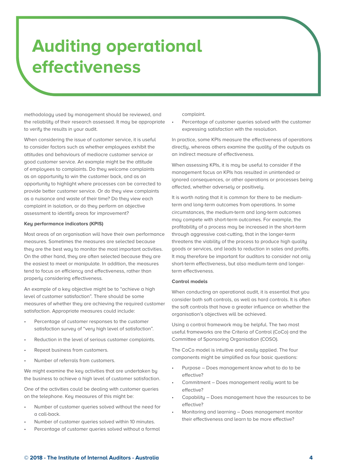methodology used by management should be reviewed, and the reliability of their research assessed. It may be appropriate to verify the results in your audit.

When considering the issue of customer service, it is useful to consider factors such as whether employees exhibit the attitudes and behaviours of mediocre customer service or good customer service. An example might be the attitude of employees to complaints. Do they welcome complaints as an opportunity to win the customer back, and as an opportunity to highlight where processes can be corrected to provide better customer service. Or do they view complaints as a nuisance and waste of their time? Do they view each complaint in isolation, or do they perform an objective assessment to identify areas for improvement?

## **Key performance indicators (KPIS)**

Most areas of an organisation will have their own performance measures. Sometimes the measures are selected because they are the best way to monitor the most important activities. On the other hand, they are often selected because they are the easiest to meet or manipulate. In addition, the measures tend to focus on efficiency and effectiveness, rather than properly considering effectiveness.

An example of a key objective might be to "achieve a high level of customer satisfaction". There should be some measures of whether they are achieving the required customer satisfaction. Appropriate measures could include:

- Percentage of customer responses to the customer satisfaction survey of "very high level of satisfaction".
- Reduction in the level of serious customer complaints.
- Repeat business from customers.
- Number of referrals from customers.

We might examine the key activities that are undertaken by the business to achieve a high level of customer satisfaction.

One of the activities could be dealing with customer queries on the telephone. Key measures of this might be:

- Number of customer queries solved without the need for a call-back.
- Number of customer queries solved within 10 minutes.
- Percentage of customer queries solved without a formal

complaint.

Percentage of customer queries solved with the customer expressing satisfaction with the resolution.

In practice, some KPIs measure the effectiveness of operations directly, whereas others examine the quality of the outputs as an indirect measure of effectiveness.

When assessing KPIs, it is may be useful to consider if the management focus on KPIs has resulted in unintended or ignored consequences, or other operations or processes being affected, whether adversely or positively.

It is worth noting that it is common for there to be mediumterm and long-term outcomes from operations. In some circumstances, the medium-term and long-term outcomes may compete with short-term outcomes. For example, the profitabilitu of a process may be increased in the short-term through aggressive cost-cutting, that in the longer-term threatens the viability of the process to produce high quality goods or services, and leads to reduction in sales and profits. It may therefore be important for auditors to consider not only short-term effectiveness, but also medium-term and longerterm effectiveness.

# **Control models**

When conducting an operational audit, it is essential that you consider both soft controls, as well as hard controls. It is often the soft controls that have a greater influence on whether the organisation's objectives will be achieved.

Using a control framework may be helpful. The two most useful frameworks are the Criteria of Control (CoCo) and the Committee of Sponsoring Organisation (COSO).

The CoCo model is intuitive and easily applied. The four components might be simplified as four basic questions:

- Purpose Does management know what to do to be effective?
- Commitment Does management really want to be effective?
- Capability Does management have the resources to be effective?
- Monitoring and learning Does management monitor their effectiveness and learn to be more effective?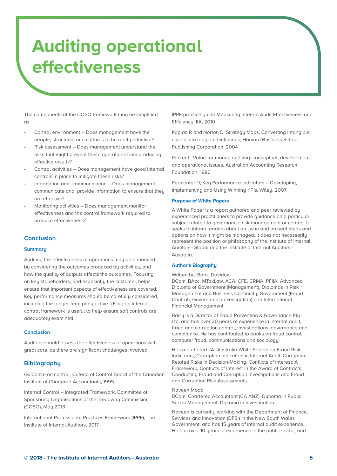The components of the COSO framework may be simplified as:

- Control environment Does management have the people, structures and cultures to be really effective?
- Risk assessment Does management understand the risks that might prevent these operations from producing effective results?
- Control activities Does management have good internal controls in place to mitigate these risks?
- Information and communication Does management communicate and provide information to ensure that they are effective?
- Monitoring activities Does management monitor effectiveness and the control framework required to produce effectiveness?

# **Conclusion**

#### **Summary**

Auditing the effectiveness of operations may be enhanced by considering the outcomes produced by activities, and how the quality of outputs affects the outcomes. Focusing on key stakeholders, and especially the customer, helps ensure that important aspects of effectiveness are covered. Key performance measures should be carefully considered, including the longer-term perspective. Using an internal control framework is useful to help ensure soft controls are adequately examined.

### **Conclusion**

Auditors should assess the effectiveness of operations with great care, as there are significant challenges involved.

# **Bibliography**

Guidance on control, Criteria of Control Board of the Canadian Institute of Chartered Accountants, 1995

Internal Control – Integrated Framework, Committee of Sponsoring Organisations of the Treadway Commission (COSO), Mau 2013

International Professional Practices Framework (IPPF), The Institute of Internal Auditors, 2017

IPPF practice guide Measuring Internal Audit Effectiveness and Efficiencu, IIA, 2010

Kaplan R and Norton D, Strategy Maps, Converting Intangible assets into tangible Outcomes, Harvard Business School Publishing Corporation, 2004

Parker L, Value-for-money auditing: conceptual, development and operational issues, Australian Accounting Research Foundation, 1986

Permenter D, Key Performance Indicators – Developing, Implementing and Using Winning KPIs, Wiley, 2007

#### **Purpose of White Papers**

A White Paper is a report authored and peer reviewed by experienced practitioners to provide guidance on a particular subject related to governance, risk management or control. It seeks to inform readers about an issue and present ideas and options on how it might be managed. It does not necessarily represent the position or philosophy of the Institute of Internal Auditors–Global and the Institute of Internal Auditors– Australia.

### **Author's Biography**

#### Written bu: Barru Davidow

BCom, BAcc, MTaxLaw, ACA, CFE, CRMA, PFIIA, Advanced Diploma of Government (Management), Diplomas in Risk Management and Business Continuity, Government (Fraud Control), Government (Investigation) and International Financial Management

Barry is a Director of Fraud Prevention & Governance Pty Ltd, and has over 20 years of experience in internal audit, fraud and corruption control, investigations, governance and compliance. He has contributed to books on fraud control, computer fraud, communications and sociology.

He co-authored IIA–Australia White Papers on Fraud Risk Indicators, Corruption Indicators in Internal Audit, Corruption Related Risks in Decision-Making, Conflicts of Interest: A Framework, Conflicts of Interest in the Award of Contracts, Conducting Fraud and Corruption Investigations and Fraud and Corruption Risk Assessments.

#### Naveen Moda

BCom, Chartered Accountant (CA ANZ), Diploma in Public Sector Management, Diploma in Investigation

Naveen is currently working with the Department of Finance, Services and Innovation (DFSI) in the New South Wales Government, and has 15 years of internal audit experience. He has over 10 years of experience in the public sector, and